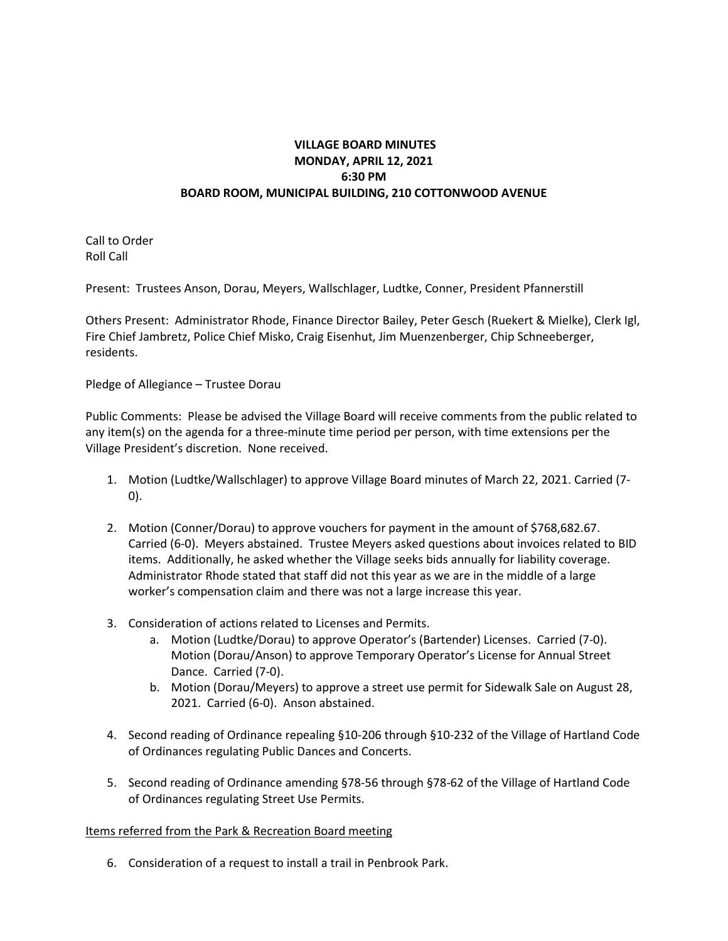## **VILLAGE BOARD MINUTES MONDAY, APRIL 12, 2021 6:30 PM BOARD ROOM, MUNICIPAL BUILDING, 210 COTTONWOOD AVENUE**

Call to Order Roll Call

Present: Trustees Anson, Dorau, Meyers, Wallschlager, Ludtke, Conner, President Pfannerstill

Others Present: Administrator Rhode, Finance Director Bailey, Peter Gesch (Ruekert & Mielke), Clerk Igl, Fire Chief Jambretz, Police Chief Misko, Craig Eisenhut, Jim Muenzenberger, Chip Schneeberger, residents.

Pledge of Allegiance – Trustee Dorau

Public Comments: Please be advised the Village Board will receive comments from the public related to any item(s) on the agenda for a three-minute time period per person, with time extensions per the Village President's discretion. None received.

- 1. Motion (Ludtke/Wallschlager) to approve Village Board minutes of March 22, 2021. Carried (7- 0).
- 2. Motion (Conner/Dorau) to approve vouchers for payment in the amount of \$768,682.67. Carried (6-0). Meyers abstained. Trustee Meyers asked questions about invoices related to BID items. Additionally, he asked whether the Village seeks bids annually for liability coverage. Administrator Rhode stated that staff did not this year as we are in the middle of a large worker's compensation claim and there was not a large increase this year.
- 3. Consideration of actions related to Licenses and Permits.
	- a. Motion (Ludtke/Dorau) to approve Operator's (Bartender) Licenses. Carried (7-0). Motion (Dorau/Anson) to approve Temporary Operator's License for Annual Street Dance. Carried (7-0).
	- b. Motion (Dorau/Meyers) to approve a street use permit for Sidewalk Sale on August 28, 2021. Carried (6-0). Anson abstained.
- 4. Second reading of Ordinance repealing §10-206 through §10-232 of the Village of Hartland Code of Ordinances regulating Public Dances and Concerts.
- 5. Second reading of Ordinance amending §78-56 through §78-62 of the Village of Hartland Code of Ordinances regulating Street Use Permits.

## Items referred from the Park & Recreation Board meeting

6. Consideration of a request to install a trail in Penbrook Park.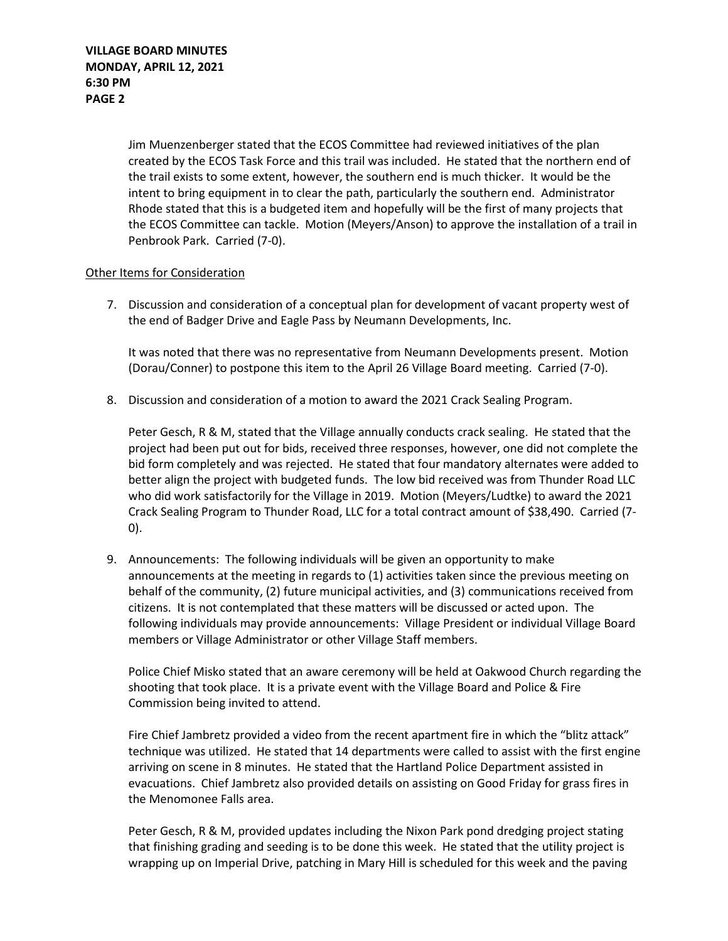Jim Muenzenberger stated that the ECOS Committee had reviewed initiatives of the plan created by the ECOS Task Force and this trail was included. He stated that the northern end of the trail exists to some extent, however, the southern end is much thicker. It would be the intent to bring equipment in to clear the path, particularly the southern end. Administrator Rhode stated that this is a budgeted item and hopefully will be the first of many projects that the ECOS Committee can tackle. Motion (Meyers/Anson) to approve the installation of a trail in Penbrook Park. Carried (7-0).

## Other Items for Consideration

7. Discussion and consideration of a conceptual plan for development of vacant property west of the end of Badger Drive and Eagle Pass by Neumann Developments, Inc.

It was noted that there was no representative from Neumann Developments present. Motion (Dorau/Conner) to postpone this item to the April 26 Village Board meeting. Carried (7-0).

8. Discussion and consideration of a motion to award the 2021 Crack Sealing Program.

Peter Gesch, R & M, stated that the Village annually conducts crack sealing. He stated that the project had been put out for bids, received three responses, however, one did not complete the bid form completely and was rejected. He stated that four mandatory alternates were added to better align the project with budgeted funds. The low bid received was from Thunder Road LLC who did work satisfactorily for the Village in 2019. Motion (Meyers/Ludtke) to award the 2021 Crack Sealing Program to Thunder Road, LLC for a total contract amount of \$38,490. Carried (7- 0).

9. Announcements: The following individuals will be given an opportunity to make announcements at the meeting in regards to (1) activities taken since the previous meeting on behalf of the community, (2) future municipal activities, and (3) communications received from citizens. It is not contemplated that these matters will be discussed or acted upon. The following individuals may provide announcements: Village President or individual Village Board members or Village Administrator or other Village Staff members.

Police Chief Misko stated that an aware ceremony will be held at Oakwood Church regarding the shooting that took place. It is a private event with the Village Board and Police & Fire Commission being invited to attend.

Fire Chief Jambretz provided a video from the recent apartment fire in which the "blitz attack" technique was utilized. He stated that 14 departments were called to assist with the first engine arriving on scene in 8 minutes. He stated that the Hartland Police Department assisted in evacuations. Chief Jambretz also provided details on assisting on Good Friday for grass fires in the Menomonee Falls area.

Peter Gesch, R & M, provided updates including the Nixon Park pond dredging project stating that finishing grading and seeding is to be done this week. He stated that the utility project is wrapping up on Imperial Drive, patching in Mary Hill is scheduled for this week and the paving